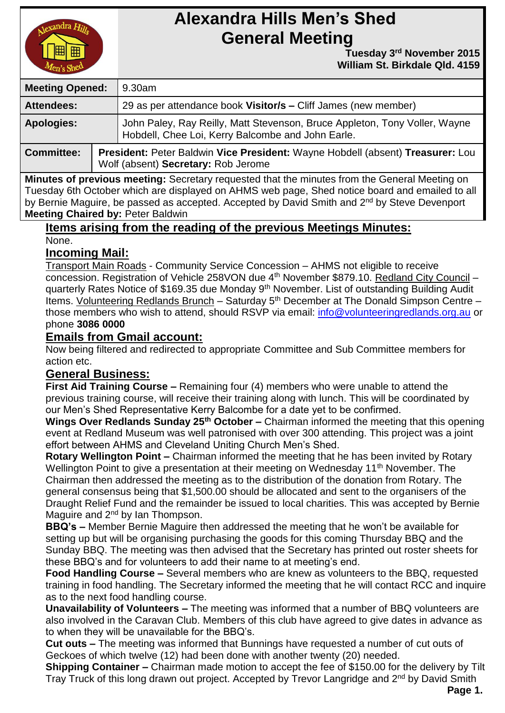

# **Alexandra Hills Men's Shed General Meeting**

 **Tuesday** 3<sup>rd</sup> November 2015  **William St. Birkdale Qld. 4159** 

| <b>Meeting Opened:</b> |  | 9.30am                                                                                                                          |  |
|------------------------|--|---------------------------------------------------------------------------------------------------------------------------------|--|
| <b>Attendees:</b>      |  | 29 as per attendance book Visitor/s - Cliff James (new member)                                                                  |  |
| <b>Apologies:</b>      |  | John Paley, Ray Reilly, Matt Stevenson, Bruce Appleton, Tony Voller, Wayne<br>Hobdell, Chee Loi, Kerry Balcombe and John Earle. |  |
| <b>Committee:</b>      |  | President: Peter Baldwin Vice President: Wayne Hobdell (absent) Treasurer: Lou<br>Wolf (absent) Secretary: Rob Jerome           |  |

**Minutes of previous meeting:** Secretary requested that the minutes from the General Meeting on Tuesday 6th October which are displayed on AHMS web page, Shed notice board and emailed to all by Bernie Maguire, be passed as accepted. Accepted by David Smith and 2<sup>nd</sup> by Steve Devenport **Meeting Chaired by:** Peter Baldwin

#### **Items arising from the reading of the previous Meetings Minutes:** None.

#### **Incoming Mail:**

Transport Main Roads - Community Service Concession – AHMS not eligible to receive concession. Registration of Vehicle 258VON due 4<sup>th</sup> November \$879.10. Redland City Council – quarterly Rates Notice of \$169.35 due Monday 9th November. List of outstanding Building Audit Items. Volunteering Redlands Brunch – Saturday  $5<sup>th</sup>$  December at The Donald Simpson Centre – those members who wish to attend, should RSVP via email: [info@volunteeringredlands.org.au](mailto:info@volunteeringredlands.org.au) or phone **3086 0000**

### **Emails from Gmail account:**

Now being filtered and redirected to appropriate Committee and Sub Committee members for action etc.

### **General Business:**

**First Aid Training Course –** Remaining four (4) members who were unable to attend the previous training course, will receive their training along with lunch. This will be coordinated by our Men's Shed Representative Kerry Balcombe for a date yet to be confirmed.

**Wings Over Redlands Sunday 25th October –** Chairman informed the meeting that this opening event at Redland Museum was well patronised with over 300 attending. This project was a joint effort between AHMS and Cleveland Uniting Church Men's Shed.

**Rotary Wellington Point –** Chairman informed the meeting that he has been invited by Rotary Wellington Point to give a presentation at their meeting on Wednesday 11<sup>th</sup> November. The Chairman then addressed the meeting as to the distribution of the donation from Rotary. The general consensus being that \$1,500.00 should be allocated and sent to the organisers of the Draught Relief Fund and the remainder be issued to local charities. This was accepted by Bernie Maguire and 2<sup>nd</sup> by Ian Thompson.

**BBQ's –** Member Bernie Maguire then addressed the meeting that he won't be available for setting up but will be organising purchasing the goods for this coming Thursday BBQ and the Sunday BBQ. The meeting was then advised that the Secretary has printed out roster sheets for these BBQ's and for volunteers to add their name to at meeting's end.

**Food Handling Course –** Several members who are knew as volunteers to the BBQ, requested training in food handling. The Secretary informed the meeting that he will contact RCC and inquire as to the next food handling course.

**Unavailability of Volunteers –** The meeting was informed that a number of BBQ volunteers are also involved in the Caravan Club. Members of this club have agreed to give dates in advance as to when they will be unavailable for the BBQ's.

**Cut outs –** The meeting was informed that Bunnings have requested a number of cut outs of Geckoes of which twelve (12) had been done with another twenty (20) needed.

**Shipping Container –** Chairman made motion to accept the fee of \$150.00 for the delivery by Tilt Tray Truck of this long drawn out project. Accepted by Trevor Langridge and 2<sup>nd</sup> by David Smith